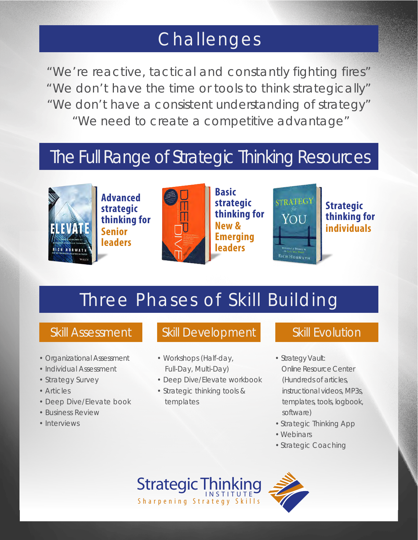### Challenges

"We're reactive, tactical and constantly fighting fires" "We don't have the time or tools to think strategically" "We don't have a consistent understanding of strategy" "We need to create a competitive advantage"

### The Full Range of Strategic Thinking Resources



**Advanced strategic thinking for Senior leaders**



**Basic strategic thinking for New & Emerging leaders**



**Strategic thinking for individuals**

# Three Phases of Skill Building

- Organizational Assessment
- Individual Assessment
- Strategy Survey
- Articles
- Deep Dive/Elevate book
- Business Review
- Interviews

### Skill Assessment Skill Development Skill Evolution

- Workshops (Half-day, Full-Day, Multi-Day)
- Deep Dive/Elevate workbook
- Strategic thinking tools & templates

- Strategy Vault: Online Resource Center (Hundreds of articles, instructional videos, MP3s, templates, tools, logbook, software)
- Strategic Thinking App
- Webinars
- Strategic Coaching

**Strategic Thinking** Sharpening Strategy Skills

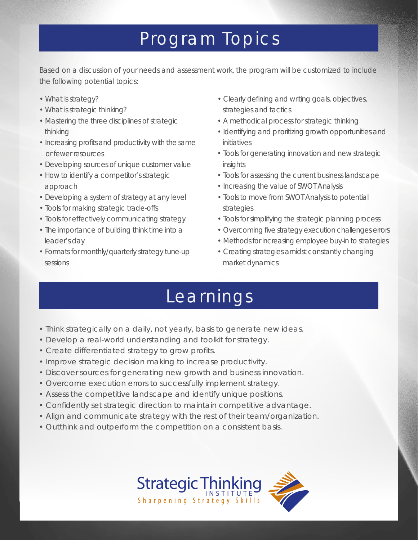### Program Topics

Based on a discussion of your needs and assessment work, the program will be customized to include the following potential topics:

- What is strategy?
- What is strategic thinking?
- Mastering the three disciplines of strategic thinking
- Increasing profits and productivity with the same or fewer resources
- Developing sources of unique customer value
- How to identify a competitor's strategic approach
- Developing a system of strategy at any level
- Tools for making strategic trade-offs
- Tools for effectively communicating strategy
- The importance of building think time into a leader's day
- Formats for monthly/quarterly strategy tune-up sessions
- Clearly defining and writing goals, objectives, strategies and tactics
- A methodical process for strategic thinking
- Identifying and prioritizing growth opportunities and initiatives
- Tools for generating innovation and new strategic insights
- Tools for assessing the current business landscape
- Increasing the value of SWOT Analysis
- Tools to move from SWOT Analysis to potential strategies
- Tools for simplifying the strategic planning process
- Overcoming five strategy execution challenges errors
- Methods for increasing employee buy-in to strategies
- Creating strategies amidst constantly changing market dynamics

## Learnings

- Think strategically on a daily, not yearly, basis to generate new ideas.
- Develop a real-world understanding and toolkit for strategy.
- Create differentiated strategy to grow profits.
- Improve strategic decision making to increase productivity.
- Discover sources for generating new growth and business innovation.
- Overcome execution errors to successfully implement strategy.
- Assess the competitive landscape and identify unique positions.
- Confidently set strategic direction to maintain competitive advantage.
- Align and communicate strategy with the rest of their team/organization.
- Outthink and outperform the competition on a consistent basis.